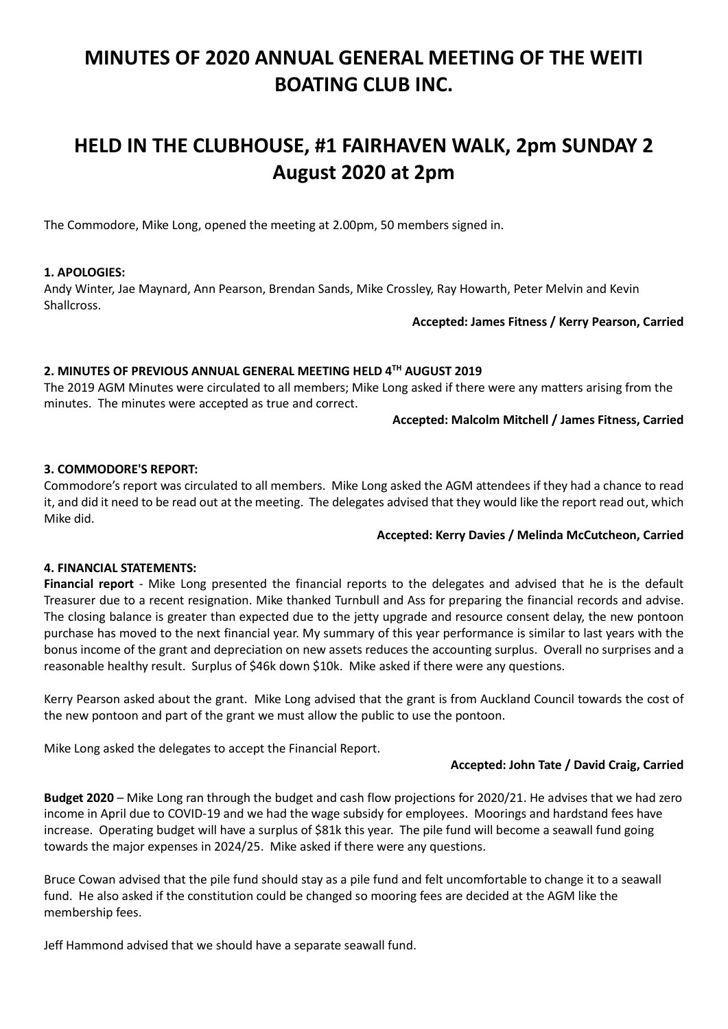# MINUTES OF 2020 ANNUAL GENERAL MEETING OF THE WEITI BOATING CLUB INC.

# HELD IN THE CLUBHOUSE, #1 FAIRHAVEN WALK, 2pm SUNDAY 2 August 2020 at 2pm

The Commodore, Mike Long, opened the meeting at 2.00pm, 50 members signed in.

## 1. APOLOGIES:

Andy Winter, Jae Maynard, Ann Pearson, Brendan Sands, Mike Crossley, Ray Howarth, Peter Melvin and Kevin Shallcross.

#### Accepted: James Fitness / Kerry Pearson, Carried

# 2. MINUTES OF PREVIOUS ANNUAL GENERAL MEETING HELD 4TH AUGUST 2019

The 2019 AGM Minutes were circulated to all members; Mike Long asked if there were any matters arising from the minutes. The minutes were accepted as true and correct.

#### Accepted: Malcolm Mitchell / James Fitness, Carried

## 3. COMMODORE'S REPORT:

Commodore's report was circulated to all members. Mike Long asked the AGM attendees if they had a chance to read it, and did it need to be read out at the meeting. The delegates advised that they would like the report read out, which Mike did.

## Accepted: Kerry Davies / Melinda McCutcheon, Carried

## 4. FINANCIAL STATEMENTS:

Financial report - Mike Long presented the financial reports to the delegates and advised that he is the default Treasurer due to a recent resignation. Mike thanked Turnbull and Ass for preparing the financial records and advise. The closing balance is greater than expected due to the jetty upgrade and resource consent delay, the new pontoon purchase has moved to the next financial year. My summary of this year performance is similar to last years with the bonus income of the grant and depreciation on new assets reduces the accounting surplus. Overall no surprises and a reasonable healthy result. Surplus of \$46k down \$10k. Mike asked if there were any questions.

Kerry Pearson asked about the grant. Mike Long advised that the grant is from Auckland Council towards the cost of the new pontoon and part of the grant we must allow the public to use the pontoon.

Mike Long asked the delegates to accept the Financial Report.

## Accepted: John Tate / David Craig, Carried

Budget 2020 – Mike Long ran through the budget and cash flow projections for 2020/21. He advises that we had zero income in April due to COVID-19 and we had the wage subsidy for employees. Moorings and hardstand fees have increase. Operating budget will have a surplus of \$81k this year. The pile fund will become a seawall fund going towards the major expenses in 2024/25. Mike asked if there were any questions.

Bruce Cowan advised that the pile fund should stay as a pile fund and felt uncomfortable to change it to a seawall fund. He also asked if the constitution could be changed so mooring fees are decided at the AGM like the membership fees.

Jeff Hammond advised that we should have a separate seawall fund.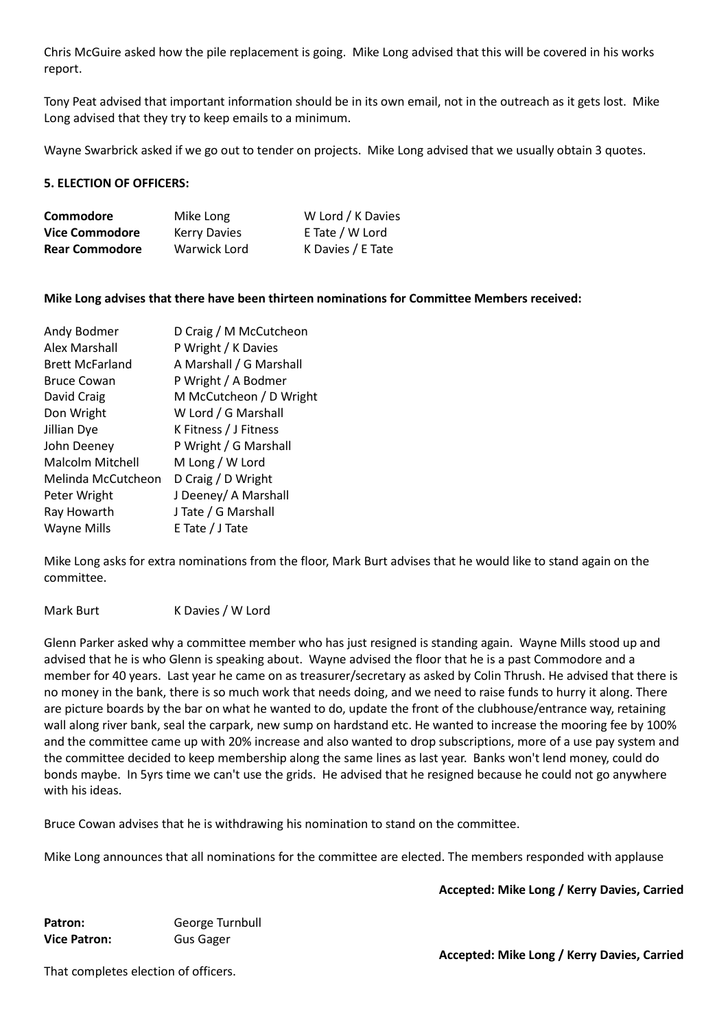Chris McGuire asked how the pile replacement is going. Mike Long advised that this will be covered in his works report.

Tony Peat advised that important information should be in its own email, not in the outreach as it gets lost. Mike Long advised that they try to keep emails to a minimum.

Wayne Swarbrick asked if we go out to tender on projects. Mike Long advised that we usually obtain 3 quotes.

## 5. ELECTION OF OFFICERS:

| Commodore             | Mike Long           | W Lord / K Davies |
|-----------------------|---------------------|-------------------|
| <b>Vice Commodore</b> | <b>Kerry Davies</b> | E Tate / W Lord   |
| <b>Rear Commodore</b> | Warwick Lord        | K Davies / E Tate |

## Mike Long advises that there have been thirteen nominations for Committee Members received:

| Andy Bodmer             | D Craig / M McCutcheon  |
|-------------------------|-------------------------|
| Alex Marshall           | P Wright / K Davies     |
| <b>Brett McFarland</b>  | A Marshall / G Marshall |
| <b>Bruce Cowan</b>      | P Wright / A Bodmer     |
| David Craig             | M McCutcheon / D Wright |
| Don Wright              | W Lord / G Marshall     |
| Jillian Dye             | K Fitness / J Fitness   |
| John Deeney             | P Wright / G Marshall   |
| <b>Malcolm Mitchell</b> | M Long / W Lord         |
| Melinda McCutcheon      | D Craig / D Wright      |
| Peter Wright            | J Deeney/ A Marshall    |
| Ray Howarth             | J Tate / G Marshall     |
| Wayne Mills             | E Tate / J Tate         |

Mike Long asks for extra nominations from the floor, Mark Burt advises that he would like to stand again on the committee.

#### Mark Burt K Davies / W Lord

Glenn Parker asked why a committee member who has just resigned is standing again. Wayne Mills stood up and advised that he is who Glenn is speaking about. Wayne advised the floor that he is a past Commodore and a member for 40 years. Last year he came on as treasurer/secretary as asked by Colin Thrush. He advised that there is no money in the bank, there is so much work that needs doing, and we need to raise funds to hurry it along. There are picture boards by the bar on what he wanted to do, update the front of the clubhouse/entrance way, retaining wall along river bank, seal the carpark, new sump on hardstand etc. He wanted to increase the mooring fee by 100% and the committee came up with 20% increase and also wanted to drop subscriptions, more of a use pay system and the committee decided to keep membership along the same lines as last year. Banks won't lend money, could do bonds maybe. In 5yrs time we can't use the grids. He advised that he resigned because he could not go anywhere with his ideas.

Bruce Cowan advises that he is withdrawing his nomination to stand on the committee.

Mike Long announces that all nominations for the committee are elected. The members responded with applause

Accepted: Mike Long / Kerry Davies, Carried

Patron: George Turnbull Vice Patron: Gus Gager

That completes election of officers.

Accepted: Mike Long / Kerry Davies, Carried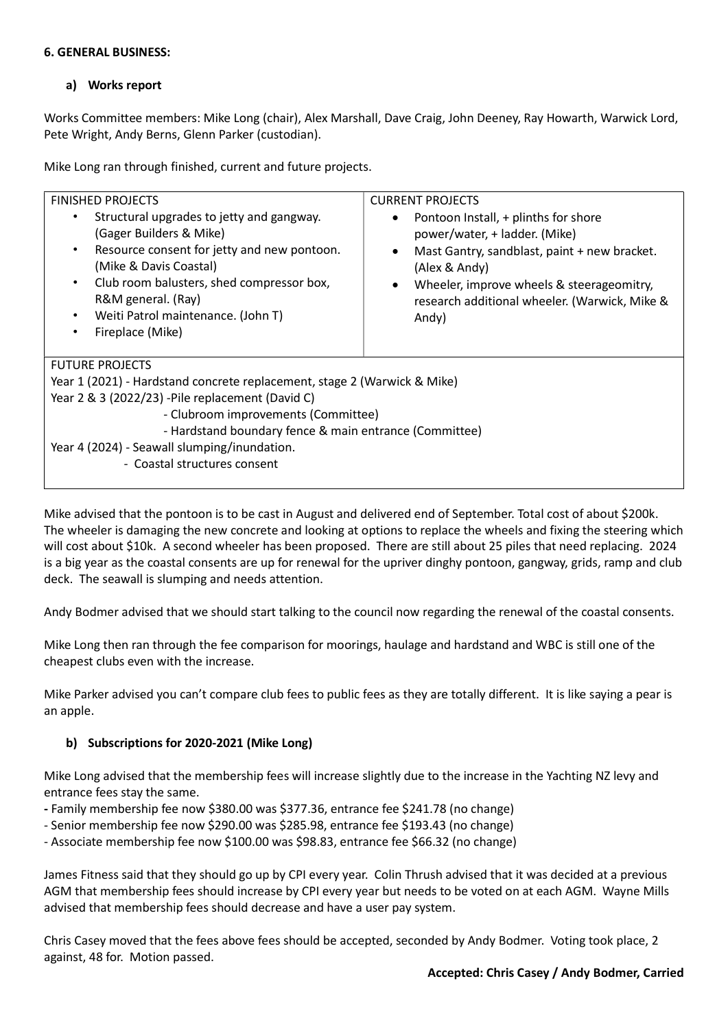## 6. GENERAL BUSINESS:

# a) Works report

Works Committee members: Mike Long (chair), Alex Marshall, Dave Craig, John Deeney, Ray Howarth, Warwick Lord, Pete Wright, Andy Berns, Glenn Parker (custodian).

Mike Long ran through finished, current and future projects.

| <b>FINISHED PROJECTS</b>                                                                                                                                                                                                                                                                                          | <b>CURRENT PROJECTS</b>                                                                                                                                                                                                                       |  |  |
|-------------------------------------------------------------------------------------------------------------------------------------------------------------------------------------------------------------------------------------------------------------------------------------------------------------------|-----------------------------------------------------------------------------------------------------------------------------------------------------------------------------------------------------------------------------------------------|--|--|
| Structural upgrades to jetty and gangway.<br>(Gager Builders & Mike)<br>Resource consent for jetty and new pontoon.<br>$\bullet$<br>(Mike & Davis Coastal)<br>Club room balusters, shed compressor box,<br>$\bullet$<br>R&M general. (Ray)<br>Weiti Patrol maintenance. (John T)<br>$\bullet$<br>Fireplace (Mike) | Pontoon Install, + plinths for shore<br>power/water, + ladder. (Mike)<br>Mast Gantry, sandblast, paint + new bracket.<br>(Alex & Andy)<br>Wheeler, improve wheels & steerageomitry,<br>research additional wheeler. (Warwick, Mike &<br>Andy) |  |  |
| <b>FUTURE PROJECTS</b>                                                                                                                                                                                                                                                                                            |                                                                                                                                                                                                                                               |  |  |
| Year 1 (2021) - Hardstand concrete replacement, stage 2 (Warwick & Mike)                                                                                                                                                                                                                                          |                                                                                                                                                                                                                                               |  |  |
| Year 2 & 3 (2022/23) -Pile replacement (David C)                                                                                                                                                                                                                                                                  |                                                                                                                                                                                                                                               |  |  |
| - Clubroom improvements (Committee)                                                                                                                                                                                                                                                                               |                                                                                                                                                                                                                                               |  |  |
| - Hardstand boundary fence & main entrance (Committee)                                                                                                                                                                                                                                                            |                                                                                                                                                                                                                                               |  |  |
| Year 4 (2024) - Seawall slumping/inundation.                                                                                                                                                                                                                                                                      |                                                                                                                                                                                                                                               |  |  |
| - Coastal structures consent                                                                                                                                                                                                                                                                                      |                                                                                                                                                                                                                                               |  |  |

Mike advised that the pontoon is to be cast in August and delivered end of September. Total cost of about \$200k. The wheeler is damaging the new concrete and looking at options to replace the wheels and fixing the steering which will cost about \$10k. A second wheeler has been proposed. There are still about 25 piles that need replacing. 2024 is a big year as the coastal consents are up for renewal for the upriver dinghy pontoon, gangway, grids, ramp and club deck. The seawall is slumping and needs attention.

Andy Bodmer advised that we should start talking to the council now regarding the renewal of the coastal consents.

Mike Long then ran through the fee comparison for moorings, haulage and hardstand and WBC is still one of the cheapest clubs even with the increase.

Mike Parker advised you can't compare club fees to public fees as they are totally different. It is like saying a pear is an apple.

# b) Subscriptions for 2020-2021 (Mike Long)

Mike Long advised that the membership fees will increase slightly due to the increase in the Yachting NZ levy and entrance fees stay the same.

- Family membership fee now \$380.00 was \$377.36, entrance fee \$241.78 (no change)
- Senior membership fee now \$290.00 was \$285.98, entrance fee \$193.43 (no change)

- Associate membership fee now \$100.00 was \$98.83, entrance fee \$66.32 (no change)

James Fitness said that they should go up by CPI every year. Colin Thrush advised that it was decided at a previous AGM that membership fees should increase by CPI every year but needs to be voted on at each AGM. Wayne Mills advised that membership fees should decrease and have a user pay system.

Chris Casey moved that the fees above fees should be accepted, seconded by Andy Bodmer. Voting took place, 2 against, 48 for. Motion passed.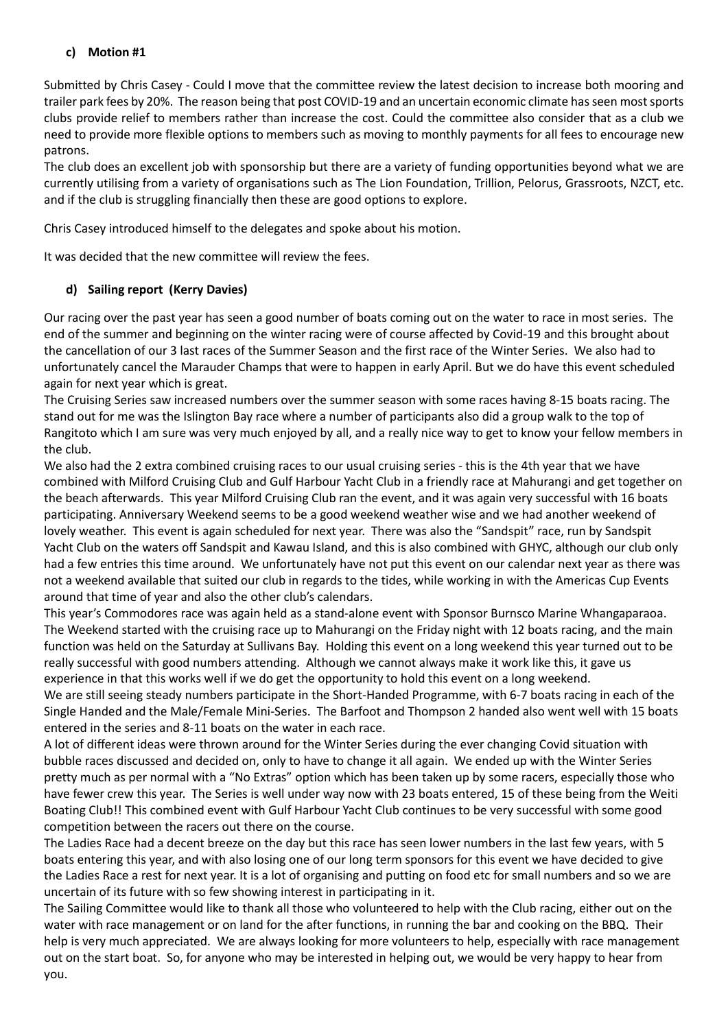# c) Motion #1

Submitted by Chris Casey - Could I move that the committee review the latest decision to increase both mooring and trailer park fees by 20%. The reason being that post COVID-19 and an uncertain economic climate has seen most sports clubs provide relief to members rather than increase the cost. Could the committee also consider that as a club we need to provide more flexible options to members such as moving to monthly payments for all fees to encourage new patrons.

The club does an excellent job with sponsorship but there are a variety of funding opportunities beyond what we are currently utilising from a variety of organisations such as The Lion Foundation, Trillion, Pelorus, Grassroots, NZCT, etc. and if the club is struggling financially then these are good options to explore.

Chris Casey introduced himself to the delegates and spoke about his motion.

It was decided that the new committee will review the fees.

# d) Sailing report (Kerry Davies)

Our racing over the past year has seen a good number of boats coming out on the water to race in most series. The end of the summer and beginning on the winter racing were of course affected by Covid-19 and this brought about the cancellation of our 3 last races of the Summer Season and the first race of the Winter Series. We also had to unfortunately cancel the Marauder Champs that were to happen in early April. But we do have this event scheduled again for next year which is great.

The Cruising Series saw increased numbers over the summer season with some races having 8-15 boats racing. The stand out for me was the Islington Bay race where a number of participants also did a group walk to the top of Rangitoto which I am sure was very much enjoyed by all, and a really nice way to get to know your fellow members in the club.

We also had the 2 extra combined cruising races to our usual cruising series - this is the 4th year that we have combined with Milford Cruising Club and Gulf Harbour Yacht Club in a friendly race at Mahurangi and get together on the beach afterwards. This year Milford Cruising Club ran the event, and it was again very successful with 16 boats participating. Anniversary Weekend seems to be a good weekend weather wise and we had another weekend of lovely weather. This event is again scheduled for next year. There was also the "Sandspit" race, run by Sandspit Yacht Club on the waters off Sandspit and Kawau Island, and this is also combined with GHYC, although our club only had a few entries this time around. We unfortunately have not put this event on our calendar next year as there was not a weekend available that suited our club in regards to the tides, while working in with the Americas Cup Events around that time of year and also the other club's calendars.

This year's Commodores race was again held as a stand-alone event with Sponsor Burnsco Marine Whangaparaoa. The Weekend started with the cruising race up to Mahurangi on the Friday night with 12 boats racing, and the main function was held on the Saturday at Sullivans Bay. Holding this event on a long weekend this year turned out to be really successful with good numbers attending. Although we cannot always make it work like this, it gave us experience in that this works well if we do get the opportunity to hold this event on a long weekend.

We are still seeing steady numbers participate in the Short-Handed Programme, with 6-7 boats racing in each of the Single Handed and the Male/Female Mini-Series. The Barfoot and Thompson 2 handed also went well with 15 boats entered in the series and 8-11 boats on the water in each race.

A lot of different ideas were thrown around for the Winter Series during the ever changing Covid situation with bubble races discussed and decided on, only to have to change it all again. We ended up with the Winter Series pretty much as per normal with a "No Extras" option which has been taken up by some racers, especially those who have fewer crew this year. The Series is well under way now with 23 boats entered, 15 of these being from the Weiti Boating Club!! This combined event with Gulf Harbour Yacht Club continues to be very successful with some good competition between the racers out there on the course.

The Ladies Race had a decent breeze on the day but this race has seen lower numbers in the last few years, with 5 boats entering this year, and with also losing one of our long term sponsors for this event we have decided to give the Ladies Race a rest for next year. It is a lot of organising and putting on food etc for small numbers and so we are uncertain of its future with so few showing interest in participating in it.

The Sailing Committee would like to thank all those who volunteered to help with the Club racing, either out on the water with race management or on land for the after functions, in running the bar and cooking on the BBQ. Their help is very much appreciated. We are always looking for more volunteers to help, especially with race management out on the start boat. So, for anyone who may be interested in helping out, we would be very happy to hear from you.